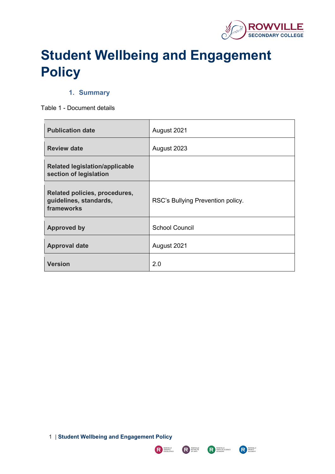

# **Student Wellbeing and Engagement Policy**

## **1. Summary**

<span id="page-0-0"></span>Table 1 - Document details

| <b>Publication date</b>                                               | August 2021                       |
|-----------------------------------------------------------------------|-----------------------------------|
| <b>Review date</b>                                                    | August 2023                       |
| <b>Related legislation/applicable</b><br>section of legislation       |                                   |
| Related policies, procedures,<br>guidelines, standards,<br>frameworks | RSC's Bullying Prevention policy. |
| <b>Approved by</b>                                                    | <b>School Council</b>             |
| <b>Approval date</b>                                                  | August 2021                       |
| <b>Version</b>                                                        | 2.0                               |

1 | **Student Wellbeing and Engagement Policy**

R ROWVILLE



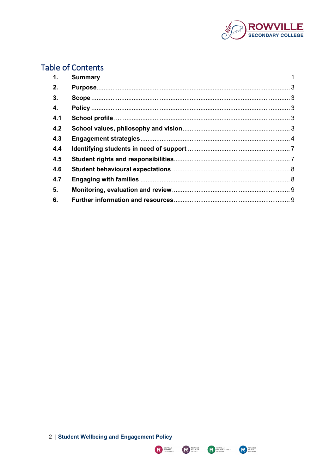

## **Table of Contents**

| $\mathbf{1}$ . |  |
|----------------|--|
| 2.             |  |
| 3.             |  |
| 4.             |  |
| 4.1            |  |
| 4.2            |  |
| 4.3            |  |
| 4.4            |  |
| 4.5            |  |
| 4.6            |  |
| 4.7            |  |
| 5.             |  |
| 6.             |  |



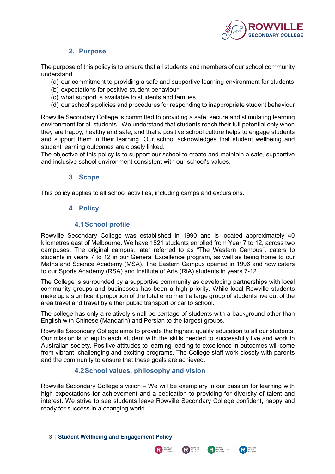

## **2. Purpose**

<span id="page-2-0"></span>The purpose of this policy is to ensure that all students and members of our school community understand:

- (a) our commitment to providing a safe and supportive learning environment for students
- (b) expectations for positive student behaviour
- (c) what support is available to students and families
- (d) our school's policies and procedures for responding to inappropriate student behaviour

Rowville Secondary College is committed to providing a safe, secure and stimulating learning environment for all students. We understand that students reach their full potential only when they are happy, healthy and safe, and that a positive school culture helps to engage students and support them in their learning. Our school acknowledges that student wellbeing and student learning outcomes are closely linked.

The objective of this policy is to support our school to create and maintain a safe, supportive and inclusive school environment consistent with our school's values.

## **3. Scope**

<span id="page-2-2"></span><span id="page-2-1"></span>This policy applies to all school activities, including camps and excursions.

## **4. Policy**

## **4.1School profile**

<span id="page-2-3"></span>Rowville Secondary College was established in 1990 and is located approximately 40 kilometres east of Melbourne. We have 1821 students enrolled from Year 7 to 12, across two campuses. The original campus, later referred to as "The Western Campus", caters to students in years 7 to 12 in our General Excellence program, as well as being home to our Maths and Science Academy (MSA). The Eastern Campus opened in 1996 and now caters to our Sports Academy (RSA) and Institute of Arts (RIA) students in years 7-12.

The College is surrounded by a supportive community as developing partnerships with local community groups and businesses has been a high priority. While local Rowville students make up a significant proportion of the total enrolment a large group of students live out of the area travel and travel by either public transport or car to school.

The college has only a relatively small percentage of students with a background other than English with Chinese (Mandarin) and Persian to the largest groups.

Rowville Secondary College aims to provide the highest quality education to all our students. Our mission is to equip each student with the skills needed to successfully live and work in Australian society. Positive attitudes to learning leading to excellence in outcomes will come from vibrant, challenging and exciting programs. The College staff work closely with parents and the community to ensure that these goals are achieved.

## **4.2School values, philosophy and vision**

<span id="page-2-4"></span>Rowville Secondary College's vision – We will be exemplary in our passion for learning with high expectations for achievement and a dedication to providing for diversity of talent and interest. We strive to see students leave Rowville Secondary College confident, happy and ready for success in a changing world.

3 | **Student Wellbeing and Engagement Policy**



**RESERVANCE** 

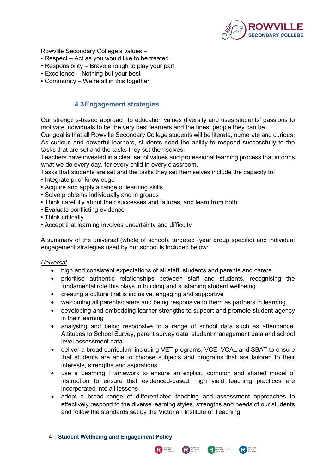

Rowville Secondary College's values –

- Respect Act as you would like to be treated
- Responsibility Brave enough to play your part
- Excellence Nothing but your best
- Community We're all in this together

## **4.3Engagement strategies**

<span id="page-3-0"></span>Our strengths-based approach to education values diversity and uses students' passions to motivate individuals to be the very best learners and the finest people they can be.

Our goal is that all Rowville Secondary College students will be literate, numerate and curious. As curious and powerful learners, students need the ability to respond successfully to the tasks that are set and the tasks they set themselves.

Teachers have invested in a clear set of values and professional learning process that informs what we do every day, for every child in every classroom.

Tasks that students are set and the tasks they set themselves include the capacity to:

- Integrate prior knowledge
- Acquire and apply a range of learning skills
- Solve problems individually and in groups
- Think carefully about their successes and failures, and learn from both
- Evaluate conflicting evidence
- Think critically
- Accept that learning involves uncertainty and difficulty

A summary of the universal (whole of school), targeted (year group specific) and individual engagement strategies used by our school is included below:

#### *Universal*

- high and consistent expectations of all staff, students and parents and carers
- prioritise authentic relationships between staff and students, recognising the fundamental role this plays in building and sustaining student wellbeing
- creating a culture that is inclusive, engaging and supportive
- welcoming all parents/carers and being responsive to them as partners in learning
- developing and embedding learner strengths to support and promote student agency in their learning
- analysing and being responsive to a range of school data such as attendance, Attitudes to School Survey, parent survey data, student management data and school level assessment data
- deliver a broad curriculum including VET programs, VCE, VCAL and SBAT to ensure that students are able to choose subjects and programs that are tailored to their interests, strengths and aspirations
- use a Learning Framework to ensure an explicit, common and shared model of instruction to ensure that evidenced-based, high yield teaching practices are incorporated into all lessons
- adopt a broad range of differentiated teaching and assessment approaches to effectively respond to the diverse learning styles, strengths and needs of our students and follow the standards set by the Victorian Institute of Teaching
- 4 | **Student Wellbeing and Engagement Policy**



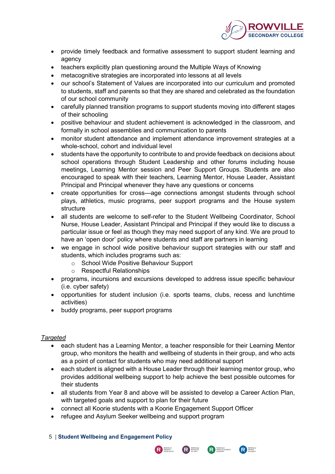

- provide timely feedback and formative assessment to support student learning and agency
- teachers explicitly plan questioning around the Multiple Ways of Knowing
- metacognitive strategies are incorporated into lessons at all levels
- our school's Statement of Values are incorporated into our curriculum and promoted to students, staff and parents so that they are shared and celebrated as the foundation of our school community
- carefully planned transition programs to support students moving into different stages of their schooling
- positive behaviour and student achievement is acknowledged in the classroom, and formally in school assemblies and communication to parents
- monitor student attendance and implement attendance improvement strategies at a whole-school, cohort and individual level
- students have the opportunity to contribute to and provide feedback on decisions about school operations through Student Leadership and other forums including house meetings, Learning Mentor session and Peer Support Groups. Students are also encouraged to speak with their teachers, Learning Mentor, House Leader, Assistant Principal and Principal whenever they have any questions or concerns
- create opportunities for cross—age connections amongst students through school plays, athletics, music programs, peer support programs and the House system structure
- all students are welcome to self-refer to the Student Wellbeing Coordinator, School Nurse, House Leader, Assistant Principal and Principal if they would like to discuss a particular issue or feel as though they may need support of any kind. We are proud to have an 'open door' policy where students and staff are partners in learning
- we engage in school wide positive behaviour support strategies with our staff and students, which includes programs such as:
	- o School Wide Positive Behaviour Support
	- o Respectful Relationships
- programs, incursions and excursions developed to address issue specific behaviour (i.e. cyber safety)
- opportunities for student inclusion (i.e. sports teams, clubs, recess and lunchtime activities)
- buddy programs, peer support programs

## *Targeted*

- each student has a Learning Mentor, a teacher responsible for their Learning Mentor group, who monitors the health and wellbeing of students in their group, and who acts as a point of contact for students who may need additional support
- each student is aligned with a House Leader through their learning mentor group, who provides additional wellbeing support to help achieve the best possible outcomes for their students
- all students from Year 8 and above will be assisted to develop a Career Action Plan, with targeted goals and support to plan for their future
- connect all Koorie students with a Koorie Engagement Support Officer
- refugee and Asylum Seeker wellbeing and support program
- 5 | **Student Wellbeing and Engagement Policy**



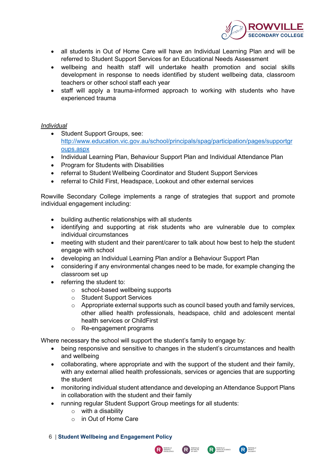

- all students in Out of Home Care will have an Individual Learning Plan and will be referred to Student Support Services for an Educational Needs Assessment
- wellbeing and health staff will undertake health promotion and social skills development in response to needs identified by student wellbeing data, classroom teachers or other school staff each year
- staff will apply a trauma-informed approach to working with students who have experienced trauma

#### *Individual*

- Student Support Groups, see: [http://www.education.vic.gov.au/school/principals/spag/participation/pages/supportgr](http://www.education.vic.gov.au/school/principals/spag/participation/pages/supportgroups.aspx) [oups.aspx](http://www.education.vic.gov.au/school/principals/spag/participation/pages/supportgroups.aspx)
- Individual Learning Plan, Behaviour Support Plan and Individual Attendance Plan
- Program for Students with Disabilities
- referral to Student Wellbeing Coordinator and Student Support Services
- referral to Child First, Headspace, Lookout and other external services

Rowville Secondary College implements a range of strategies that support and promote individual engagement including:

- building authentic relationships with all students
- identifying and supporting at risk students who are vulnerable due to complex individual circumstances
- meeting with student and their parent/carer to talk about how best to help the student engage with school
- developing an Individual Learning Plan and/or a Behaviour Support Plan
- considering if any environmental changes need to be made, for example changing the classroom set up
- referring the student to:
	- o school-based wellbeing supports
	- o Student Support Services
	- o Appropriate external supports such as council based youth and family services, other allied health professionals, headspace, child and adolescent mental health services or ChildFirst
	- o Re-engagement programs

Where necessary the school will support the student's family to engage by:

- being responsive and sensitive to changes in the student's circumstances and health and wellbeing
- collaborating, where appropriate and with the support of the student and their family, with any external allied health professionals, services or agencies that are supporting the student
- monitoring individual student attendance and developing an Attendance Support Plans in collaboration with the student and their family

R BOWVILLE

**REPARTS**<br>OF ARTS

**R**<br>**R**<br>ACADEMY

R SPORTS

- running regular Student Support Group meetings for all students:
	- $\circ$  with a disability
	- o in Out of Home Care
- 6 | **Student Wellbeing and Engagement Policy**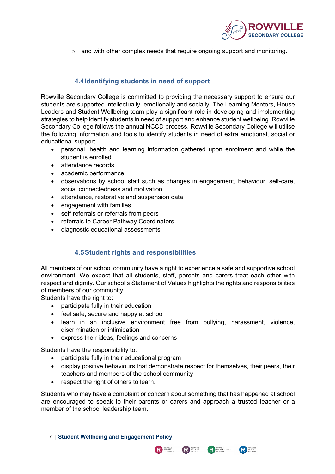

o and with other complex needs that require ongoing support and monitoring.

## **4.4Identifying students in need of support**

<span id="page-6-0"></span>Rowville Secondary College is committed to providing the necessary support to ensure our students are supported intellectually, emotionally and socially. The Learning Mentors, House Leaders and Student Wellbeing team play a significant role in developing and implementing strategies to help identify students in need of support and enhance student wellbeing. Rowville Secondary College follows the annual NCCD process. Rowville Secondary College will utilise the following information and tools to identify students in need of extra emotional, social or educational support:

- personal, health and learning information gathered upon enrolment and while the student is enrolled
- attendance records
- academic performance
- observations by school staff such as changes in engagement, behaviour, self-care, social connectedness and motivation
- attendance, restorative and suspension data
- engagement with families
- self-referrals or referrals from peers
- referrals to Career Pathway Coordinators
- diagnostic educational assessments

## **4.5Student rights and responsibilities**

<span id="page-6-1"></span>All members of our school community have a right to experience a safe and supportive school environment. We expect that all students, staff, parents and carers treat each other with respect and dignity. Our school's Statement of Values highlights the rights and responsibilities of members of our community.

Students have the right to:

- participate fully in their education
- feel safe, secure and happy at school
- learn in an inclusive environment free from bullying, harassment, violence, discrimination or intimidation
- express their ideas, feelings and concerns

Students have the responsibility to:

- participate fully in their educational program
- display positive behaviours that demonstrate respect for themselves, their peers, their teachers and members of the school community
- respect the right of others to learn.

Students who may have a complaint or concern about something that has happened at school are encouraged to speak to their parents or carers and approach a trusted teacher or a member of the school leadership team.

R BOWVILLE

**REPARTS**<br>OF ARTS

**R**<br>**R**<br>ACADEMY

**REPORTS**<br>ACADEMY

7 | **Student Wellbeing and Engagement Policy**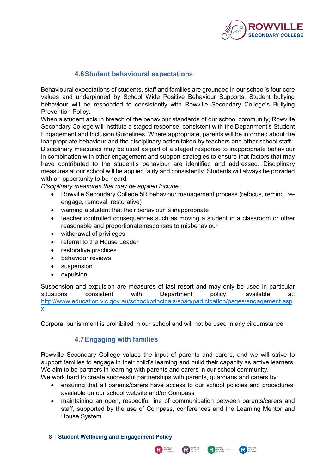

## **4.6Student behavioural expectations**

<span id="page-7-0"></span>Behavioural expectations of students, staff and families are grounded in our school's four core values and underpinned by School Wide Positive Behaviour Supports. Student bullying behaviour will be responded to consistently with Rowville Secondary College's Bullying Prevention Policy.

When a student acts in breach of the behaviour standards of our school community, Rowville Secondary College will institute a staged response, consistent with the Department's Student Engagement and Inclusion Guidelines. Where appropriate, parents will be informed about the inappropriate behaviour and the disciplinary action taken by teachers and other school staff.

Disciplinary measures may be used as part of a staged response to inappropriate behaviour in combination with other engagement and support strategies to ensure that factors that may have contributed to the student's behaviour are identified and addressed. Disciplinary measures at our school will be applied fairly and consistently. Students will always be provided with an opportunity to be heard.

*Disciplinary measures that may be applied include:*

- Rowville Secondary College 5R behaviour management process (refocus, remind, reengage, removal, restorative)
- warning a student that their behaviour is inappropriate
- teacher controlled consequences such as moving a student in a classroom or other reasonable and proportionate responses to misbehaviour
- withdrawal of privileges
- referral to the House Leader
- restorative practices
- behaviour reviews
- suspension
- expulsion

Suspension and expulsion are measures of last resort and may only be used in particular<br>situations consistent with Department policy, available at: situations consistent with Department policy, available at: [http://www.education.vic.gov.au/school/principals/spag/participation/pages/engagement.asp](http://www.education.vic.gov.au/school/principals/spag/participation/pages/engagement.aspx) [x](http://www.education.vic.gov.au/school/principals/spag/participation/pages/engagement.aspx)

<span id="page-7-1"></span>Corporal punishment is prohibited in our school and will not be used in any circumstance.

## **4.7Engaging with families**

Rowville Secondary College values the input of parents and carers, and we will strive to support families to engage in their child's learning and build their capacity as active learners. We aim to be partners in learning with parents and carers in our school community.

We work hard to create successful partnerships with parents, guardians and carers by:

- ensuring that all parents/carers have access to our school policies and procedures, available on our school website and/or Compass
- maintaining an open, respectful line of communication between parents/carers and staff, supported by the use of Compass, conferences and the Learning Mentor and House System

R BOWVILLE

R INSTITUTE

**READER** MATHS & SCIENCE

**REPORTS**<br>ACADEMY

8 | **Student Wellbeing and Engagement Policy**